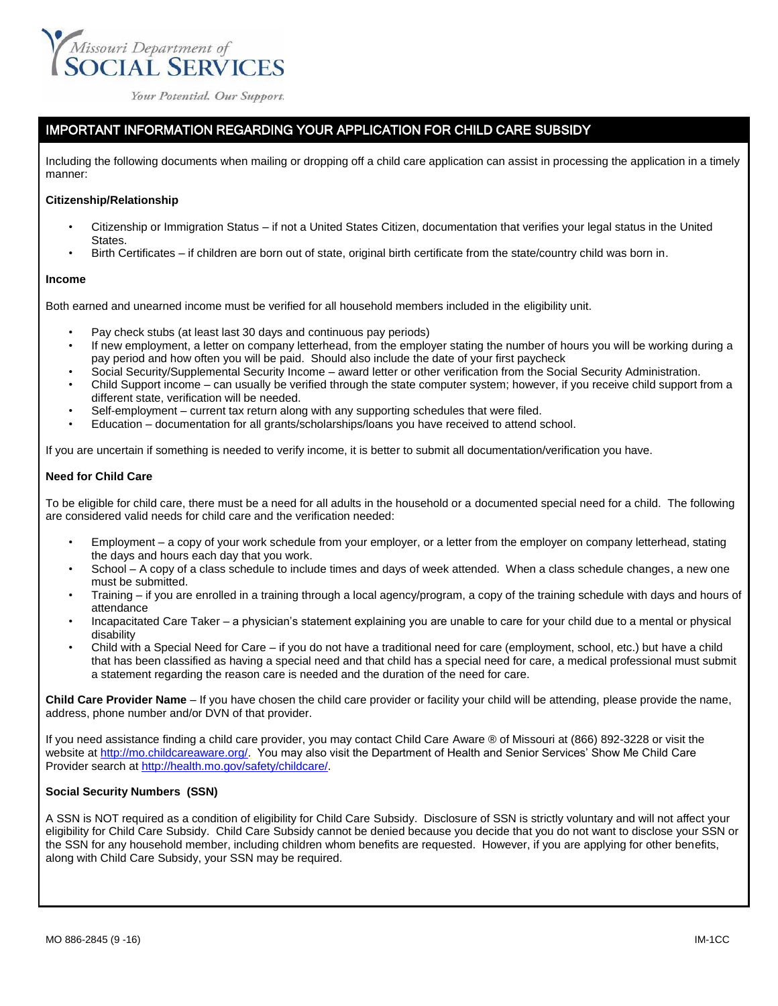

Your Potential. Our Support.

# IMPORTANT INFORMATION REGARDING YOUR APPLICATION FOR CHILD CARE SUBSIDY

Including the following documents when mailing or dropping off a child care application can assist in processing the application in a timely manner:

### **Citizenship/Relationship**

- Citizenship or Immigration Status if not a United States Citizen, documentation that verifies your legal status in the United **States**
- Birth Certificates if children are born out of state, original birth certificate from the state/country child was born in.

#### **Income**

Both earned and unearned income must be verified for all household members included in the eligibility unit.

- Pay check stubs (at least last 30 days and continuous pay periods)
- If new employment, a letter on company letterhead, from the employer stating the number of hours you will be working during a pay period and how often you will be paid. Should also include the date of your first paycheck
- Social Security/Supplemental Security Income award letter or other verification from the Social Security Administration.
- Child Support income can usually be verified through the state computer system; however, if you receive child support from a different state, verification will be needed.
- Self-employment current tax return along with any supporting schedules that were filed.
- Education documentation for all grants/scholarships/loans you have received to attend school.

If you are uncertain if something is needed to verify income, it is better to submit all documentation/verification you have.

## **Need for Child Care**

To be eligible for child care, there must be a need for all adults in the household or a documented special need for a child. The following are considered valid needs for child care and the verification needed:

- Employment a copy of your work schedule from your employer, or a letter from the employer on company letterhead, stating the days and hours each day that you work.
- School A copy of a class schedule to include times and days of week attended. When a class schedule changes, a new one must be submitted.
- Training if you are enrolled in a training through a local agency/program, a copy of the training schedule with days and hours of attendance
- Incapacitated Care Taker a physician's statement explaining you are unable to care for your child due to a mental or physical disability
- Child with a Special Need for Care if you do not have a traditional need for care (employment, school, etc.) but have a child that has been classified as having a special need and that child has a special need for care, a medical professional must submit a statement regarding the reason care is needed and the duration of the need for care.

**Child Care Provider Name** – If you have chosen the child care provider or facility your child will be attending, please provide the name, address, phone number and/or DVN of that provider.

If you need assistance finding a child care provider, you may contact Child Care Aware ® of Missouri at (866) 892-3228 or visit the website at [http://mo.childcareaware.org/.](http://mo.childcareaware.org/) You may also visit the Department of Health and Senior Services' Show Me Child Care Provider search at [http://health.mo.gov/safety/childcare/.](http://health.mo.gov/safety/childcare/)

## **Social Security Numbers (SSN)**

A SSN is NOT required as a condition of eligibility for Child Care Subsidy. Disclosure of SSN is strictly voluntary and will not affect your eligibility for Child Care Subsidy. Child Care Subsidy cannot be denied because you decide that you do not want to disclose your SSN or the SSN for any household member, including children whom benefits are requested. However, if you are applying for other benefits, along with Child Care Subsidy, your SSN may be required.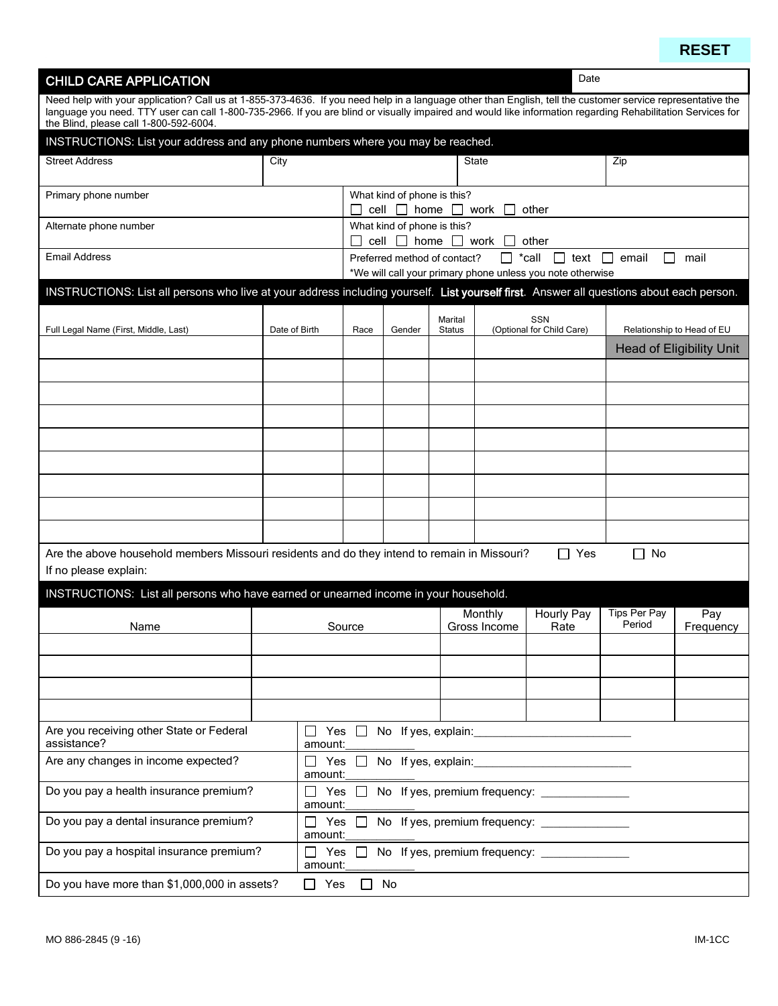**RESET**

| <b>CHILD CARE APPLICATION</b>                                                                                                                               |               |                                                            |                                                                                                        |                             |                          |                                  | Date                                        |                            |                                 |  |  |  |
|-------------------------------------------------------------------------------------------------------------------------------------------------------------|---------------|------------------------------------------------------------|--------------------------------------------------------------------------------------------------------|-----------------------------|--------------------------|----------------------------------|---------------------------------------------|----------------------------|---------------------------------|--|--|--|
| Need help with your application? Call us at 1-855-373-4636. If you need help in a language other than English, tell the customer service representative the |               |                                                            |                                                                                                        |                             |                          |                                  |                                             |                            |                                 |  |  |  |
| language you need. TTY user can call 1-800-735-2966. If you are blind or visually impaired and would like information regarding Rehabilitation Services for |               |                                                            |                                                                                                        |                             |                          |                                  |                                             |                            |                                 |  |  |  |
| the Blind, please call 1-800-592-6004.                                                                                                                      |               |                                                            |                                                                                                        |                             |                          |                                  |                                             |                            |                                 |  |  |  |
| INSTRUCTIONS: List your address and any phone numbers where you may be reached.                                                                             |               |                                                            |                                                                                                        |                             |                          |                                  |                                             |                            |                                 |  |  |  |
| <b>Street Address</b>                                                                                                                                       | City          |                                                            |                                                                                                        |                             |                          | State                            |                                             | Zip                        |                                 |  |  |  |
|                                                                                                                                                             |               |                                                            |                                                                                                        |                             |                          |                                  |                                             |                            |                                 |  |  |  |
| Primary phone number                                                                                                                                        |               |                                                            |                                                                                                        | What kind of phone is this? |                          |                                  |                                             |                            |                                 |  |  |  |
|                                                                                                                                                             |               |                                                            | cell                                                                                                   | home<br>$\perp$             | $\mathbf{L}$             | work                             | other                                       |                            |                                 |  |  |  |
| Alternate phone number                                                                                                                                      |               |                                                            | What kind of phone is this?<br>cell $\Box$ home $\Box$<br>work<br>other                                |                             |                          |                                  |                                             |                            |                                 |  |  |  |
| <b>Email Address</b>                                                                                                                                        |               |                                                            | *call<br>$\perp$<br>$\Box$ text<br>email<br>mail<br>Preferred method of contact?<br>$\mathbf{1}$<br>ΙI |                             |                          |                                  |                                             |                            |                                 |  |  |  |
|                                                                                                                                                             |               | *We will call your primary phone unless you note otherwise |                                                                                                        |                             |                          |                                  |                                             |                            |                                 |  |  |  |
| INSTRUCTIONS: List all persons who live at your address including yourself. List yourself first. Answer all questions about each person.                    |               |                                                            |                                                                                                        |                             |                          |                                  |                                             |                            |                                 |  |  |  |
|                                                                                                                                                             |               |                                                            |                                                                                                        |                             |                          |                                  |                                             |                            |                                 |  |  |  |
| Full Legal Name (First, Middle, Last)                                                                                                                       | Date of Birth |                                                            | Race                                                                                                   | Gender                      | Marital<br><b>Status</b> | SSN<br>(Optional for Child Care) |                                             | Relationship to Head of EU |                                 |  |  |  |
|                                                                                                                                                             |               |                                                            |                                                                                                        |                             |                          |                                  |                                             |                            | <b>Head of Eligibility Unit</b> |  |  |  |
|                                                                                                                                                             |               |                                                            |                                                                                                        |                             |                          |                                  |                                             |                            |                                 |  |  |  |
|                                                                                                                                                             |               |                                                            |                                                                                                        |                             |                          |                                  |                                             |                            |                                 |  |  |  |
|                                                                                                                                                             |               |                                                            |                                                                                                        |                             |                          |                                  |                                             |                            |                                 |  |  |  |
|                                                                                                                                                             |               |                                                            |                                                                                                        |                             |                          |                                  |                                             |                            |                                 |  |  |  |
|                                                                                                                                                             |               |                                                            |                                                                                                        |                             |                          |                                  |                                             |                            |                                 |  |  |  |
|                                                                                                                                                             |               |                                                            |                                                                                                        |                             |                          |                                  |                                             |                            |                                 |  |  |  |
|                                                                                                                                                             |               |                                                            |                                                                                                        |                             |                          |                                  |                                             |                            |                                 |  |  |  |
|                                                                                                                                                             |               |                                                            |                                                                                                        |                             |                          |                                  |                                             |                            |                                 |  |  |  |
|                                                                                                                                                             |               |                                                            |                                                                                                        |                             |                          |                                  |                                             |                            |                                 |  |  |  |
|                                                                                                                                                             |               |                                                            |                                                                                                        |                             |                          |                                  |                                             |                            |                                 |  |  |  |
|                                                                                                                                                             |               |                                                            |                                                                                                        |                             |                          |                                  |                                             |                            |                                 |  |  |  |
| Are the above household members Missouri residents and do they intend to remain in Missouri?                                                                |               |                                                            |                                                                                                        |                             |                          |                                  | Yes<br>$\mathsf{L}$                         | No<br>ΙI                   |                                 |  |  |  |
| If no please explain:                                                                                                                                       |               |                                                            |                                                                                                        |                             |                          |                                  |                                             |                            |                                 |  |  |  |
| INSTRUCTIONS: List all persons who have earned or unearned income in your household.                                                                        |               |                                                            |                                                                                                        |                             |                          |                                  |                                             |                            |                                 |  |  |  |
|                                                                                                                                                             |               |                                                            |                                                                                                        |                             |                          | Monthly                          | Hourly Pay                                  | <b>Tips Per Pay</b>        | Pay                             |  |  |  |
| Name                                                                                                                                                        |               |                                                            | Source                                                                                                 |                             |                          | Gross Income                     | Rate                                        | Period                     | Frequency                       |  |  |  |
|                                                                                                                                                             |               |                                                            |                                                                                                        |                             |                          |                                  |                                             |                            |                                 |  |  |  |
|                                                                                                                                                             |               |                                                            |                                                                                                        |                             |                          |                                  |                                             |                            |                                 |  |  |  |
|                                                                                                                                                             |               |                                                            |                                                                                                        |                             |                          |                                  |                                             |                            |                                 |  |  |  |
|                                                                                                                                                             |               |                                                            |                                                                                                        |                             |                          |                                  |                                             |                            |                                 |  |  |  |
|                                                                                                                                                             |               |                                                            |                                                                                                        |                             |                          |                                  |                                             |                            |                                 |  |  |  |
| Are you receiving other State or Federal<br>assistance?                                                                                                     |               | Yes                                                        | $\Box$                                                                                                 |                             |                          |                                  | No If yes, explain: No If yes, explain:     |                            |                                 |  |  |  |
| Are any changes in income expected?                                                                                                                         |               | amount:                                                    | Yes $\Box$                                                                                             |                             |                          |                                  |                                             |                            |                                 |  |  |  |
|                                                                                                                                                             |               | amount:                                                    |                                                                                                        |                             |                          |                                  | No If yes, explain:                         |                            |                                 |  |  |  |
| Do you pay a health insurance premium?                                                                                                                      |               |                                                            | Yes $\Box$                                                                                             |                             |                          |                                  | No If yes, premium frequency:               |                            |                                 |  |  |  |
|                                                                                                                                                             |               | amount:                                                    |                                                                                                        |                             |                          |                                  |                                             |                            |                                 |  |  |  |
| Do you pay a dental insurance premium?                                                                                                                      |               | Yes<br>$\blacksquare$                                      | $\Box$                                                                                                 |                             |                          |                                  | No If yes, premium frequency: _____________ |                            |                                 |  |  |  |
|                                                                                                                                                             |               | amount:                                                    |                                                                                                        |                             |                          |                                  |                                             |                            |                                 |  |  |  |
| Do you pay a hospital insurance premium?                                                                                                                    |               | Yes<br>$\Box$<br>amount:                                   | $\perp$                                                                                                |                             |                          |                                  | No If yes, premium frequency:               |                            |                                 |  |  |  |
| Do you have more than \$1,000,000 in assets?                                                                                                                |               | Yes                                                        |                                                                                                        | No                          |                          |                                  |                                             |                            |                                 |  |  |  |
|                                                                                                                                                             |               |                                                            |                                                                                                        |                             |                          |                                  |                                             |                            |                                 |  |  |  |